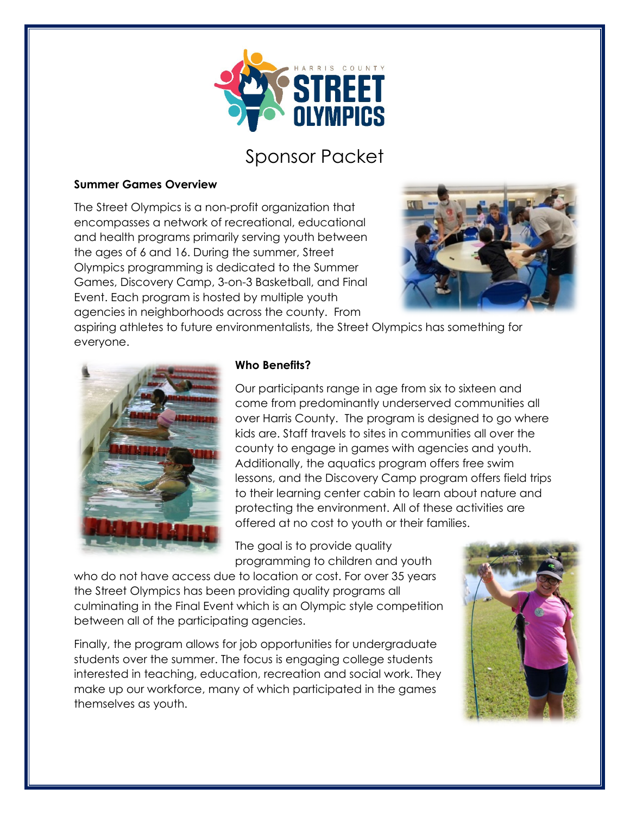

### Sponsor Packet

#### **Summer Games Overview**

The Street Olympics is a non-profit organization that encompasses a network of recreational, educational and health programs primarily serving youth between the ages of 6 and 16. During the summer, Street Olympics programming is dedicated to the Summer Games, Discovery Camp, 3-on-3 Basketball, and Final Event. Each program is hosted by multiple youth agencies in neighborhoods across the county. From



aspiring athletes to future environmentalists, the Street Olympics has something for everyone.



#### **Who Benefits?**

Our participants range in age from six to sixteen and come from predominantly underserved communities all over Harris County. The program is designed to go where kids are. Staff travels to sites in communities all over the county to engage in games with agencies and youth. Additionally, the aquatics program offers free swim lessons, and the Discovery Camp program offers field trips to their learning center cabin to learn about nature and protecting the environment. All of these activities are offered at no cost to youth or their families.

The goal is to provide quality programming to children and youth

who do not have access due to location or cost. For over 35 years the Street Olympics has been providing quality programs all culminating in the Final Event which is an Olympic style competition between all of the participating agencies.

Finally, the program allows for job opportunities for undergraduate students over the summer. The focus is engaging college students interested in teaching, education, recreation and social work. They make up our workforce, many of which participated in the games themselves as youth.

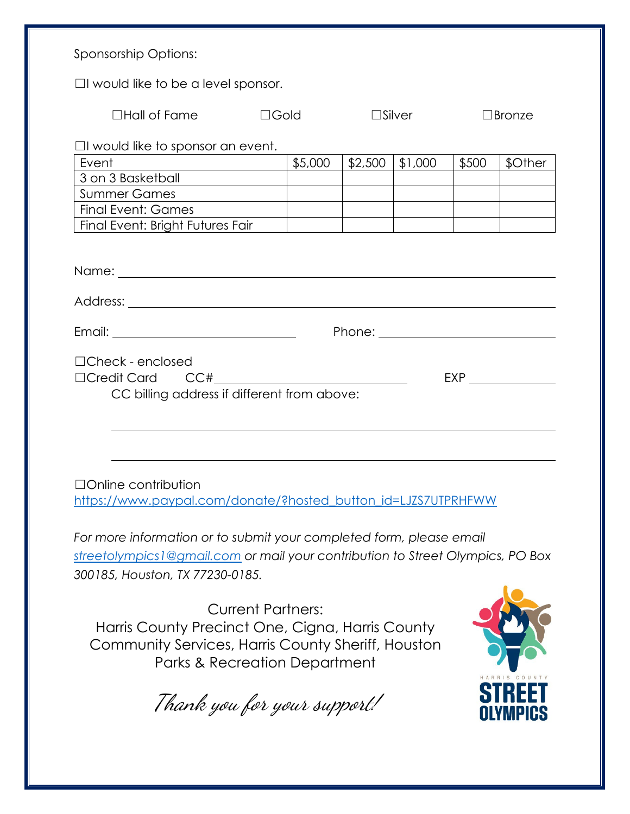| Sponsorship Options:                                                                                                                                                                      |         |                  |         |               |                                                  |  |  |
|-------------------------------------------------------------------------------------------------------------------------------------------------------------------------------------------|---------|------------------|---------|---------------|--------------------------------------------------|--|--|
| $\Box$ I would like to be a level sponsor.                                                                                                                                                |         |                  |         |               |                                                  |  |  |
| $\Box$ Hall of Fame<br>$\Box$ Gold                                                                                                                                                        |         | $\square$ Silver |         | $\Box$ Bronze |                                                  |  |  |
| $\Box$ I would like to sponsor an event.                                                                                                                                                  |         |                  |         |               |                                                  |  |  |
| Event                                                                                                                                                                                     | \$5,000 | \$2,500          | \$1,000 | \$500         | \$Other                                          |  |  |
|                                                                                                                                                                                           |         |                  |         |               |                                                  |  |  |
| <b>Summer Games</b>                                                                                                                                                                       |         |                  |         |               |                                                  |  |  |
| Final Event: Games                                                                                                                                                                        |         |                  |         |               |                                                  |  |  |
| Final Event: Bright Futures Fair                                                                                                                                                          |         |                  |         |               |                                                  |  |  |
|                                                                                                                                                                                           |         |                  |         |               |                                                  |  |  |
|                                                                                                                                                                                           |         |                  |         |               |                                                  |  |  |
|                                                                                                                                                                                           |         |                  |         |               | Phone: <u>__________________________________</u> |  |  |
| $\Box$ Check - enclosed<br>EXP<br>CC billing address if different from above:                                                                                                             |         |                  |         |               |                                                  |  |  |
|                                                                                                                                                                                           |         |                  |         |               |                                                  |  |  |
| $\Box$ Online contribution<br>https://www.paypal.com/donate/?hosted_button_id=LJZS7UTPRHFWW                                                                                               |         |                  |         |               |                                                  |  |  |
| For more information or to submit your completed form, please email<br>streetolympics 1@gmail.com or mail your contribution to Street Olympics, PO Box<br>300185, Houston, TX 77230-0185. |         |                  |         |               |                                                  |  |  |
| <b>Current Partners:</b><br>Harris County Precinct One, Cigna, Harris County<br>Community Services, Harris County Sheriff, Houston<br>Parks & Recreation Department                       |         |                  |         |               |                                                  |  |  |

Thank you for your support!

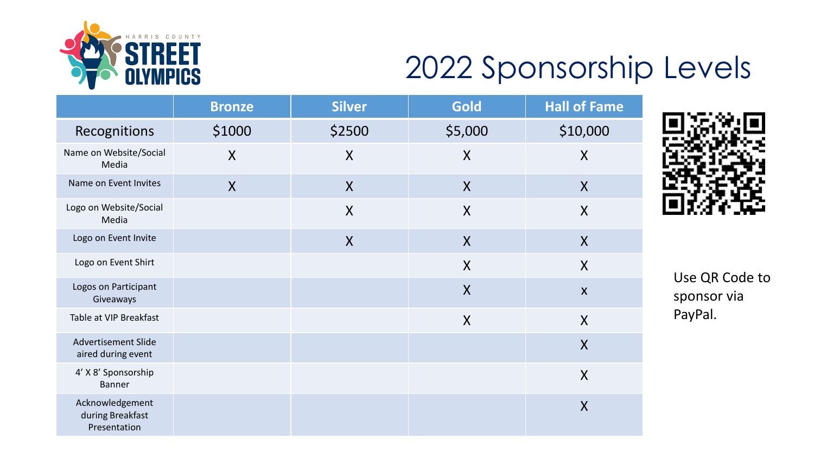

## 2022 Sponsorship Levels

|                                                     | <b>Bronze</b> | <b>Silver</b> | <b>Gold</b>               | <b>Hall of Fame</b>       |
|-----------------------------------------------------|---------------|---------------|---------------------------|---------------------------|
| Recognitions                                        | \$1000        | \$2500        | \$5,000                   | \$10,000                  |
| Name on Website/Social<br>Media                     | $\sf X$       | $\sf X$       | $\sf X$                   | $\sf X$                   |
| Name on Event Invites                               | X             | $\mathsf{X}$  | $\mathsf{X}$              | X                         |
| Logo on Website/Social<br>Media                     |               | $\sf X$       | X                         | $\sf X$                   |
| Logo on Event Invite                                |               | X             | $\sf X$                   | $\sf X$                   |
| Logo on Event Shirt                                 |               |               | X                         | $\sf X$                   |
| Logos on Participant<br>Giveaways                   |               |               | $\overline{\mathsf{X}}$   | $\boldsymbol{\mathsf{X}}$ |
| Table at VIP Breakfast                              |               |               | $\boldsymbol{\mathsf{X}}$ | $\boldsymbol{X}$          |
| <b>Advertisement Slide</b><br>aired during event    |               |               |                           | $\overline{X}$            |
| 4' X 8' Sponsorship<br><b>Banner</b>                |               |               |                           | $\sf X$                   |
| Acknowledgement<br>during Breakfast<br>Presentation |               |               |                           | $\sf X$                   |



Use QR Code to sponsor via PayPal.